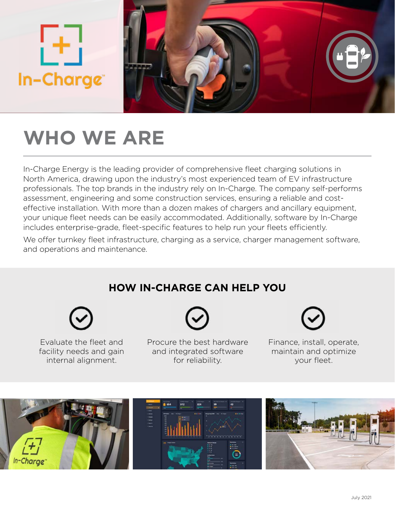

# **WHO WE ARE**

In-Charge Energy is the leading provider of comprehensive fleet charging solutions in North America, drawing upon the industry's most experienced team of EV infrastructure professionals. The top brands in the industry rely on In-Charge. The company self-performs assessment, engineering and some construction services, ensuring a reliable and costeffective installation. With more than a dozen makes of chargers and ancillary equipment, your unique fleet needs can be easily accommodated. Additionally, software by In-Charge includes enterprise-grade, fleet-specific features to help run your fleets efficiently.

We offer turnkey fleet infrastructure, charging as a service, charger management software, and operations and maintenance.

## **HOW IN-CHARGE CAN HELP YOU**



Evaluate the fleet and facility needs and gain internal alignment.

Procure the best hardware and integrated software for reliability.

Finance, install, operate, maintain and optimize your fleet.